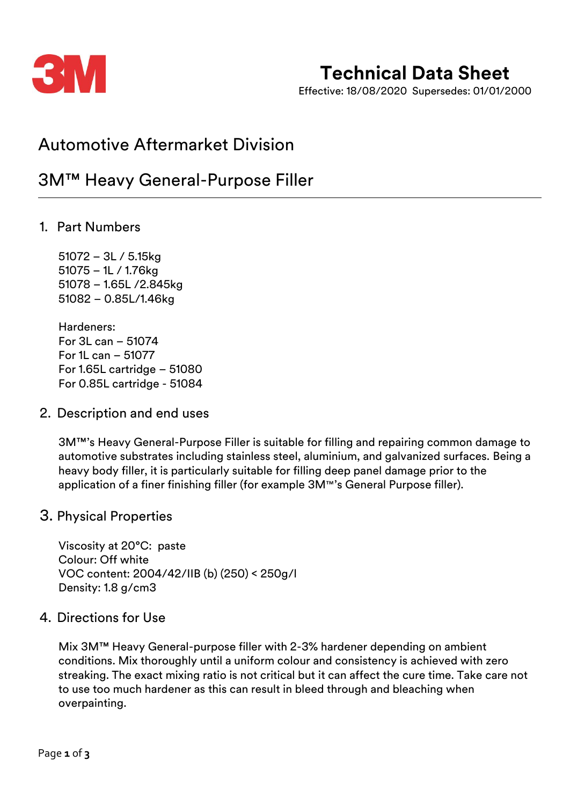

# **Technical Data Sheet**

Effective: 18/08/2020 Supersedes: 01/01/2000

## Automotive Aftermarket Division

## 3M™ Heavy General-Purpose Filler

### 1. Part Numbers

– 3L / 5.15kg – 1L / 1.76kg – 1.65L /2.845kg – 0.85L/1.46kg

Hardeners: For 3L can – 51074 For 1L can – 51077 For 1.65L cartridge – 51080 For 0.85L cartridge - 51084

### 2. Description and end uses

3M™'s Heavy General-Purpose Filler is suitable for filling and repairing common damage to automotive substrates including stainless steel, aluminium, and galvanized surfaces. Being a heavy body filler, it is particularly suitable for filling deep panel damage prior to the application of a finer finishing filler (for example 3M™'s General Purpose filler).

### 3. Physical Properties

Viscosity at 20°C: paste Colour: Off white VOC content: 2004/42/IIB (b) (250) < 250g/l Density: 1.8 g/cm3

### 4. Directions for Use

Mix 3M™ Heavy General-purpose filler with 2-3% hardener depending on ambient conditions. Mix thoroughly until a uniform colour and consistency is achieved with zero streaking. The exact mixing ratio is not critical but it can affect the cure time. Take care not to use too much hardener as this can result in bleed through and bleaching when overpainting.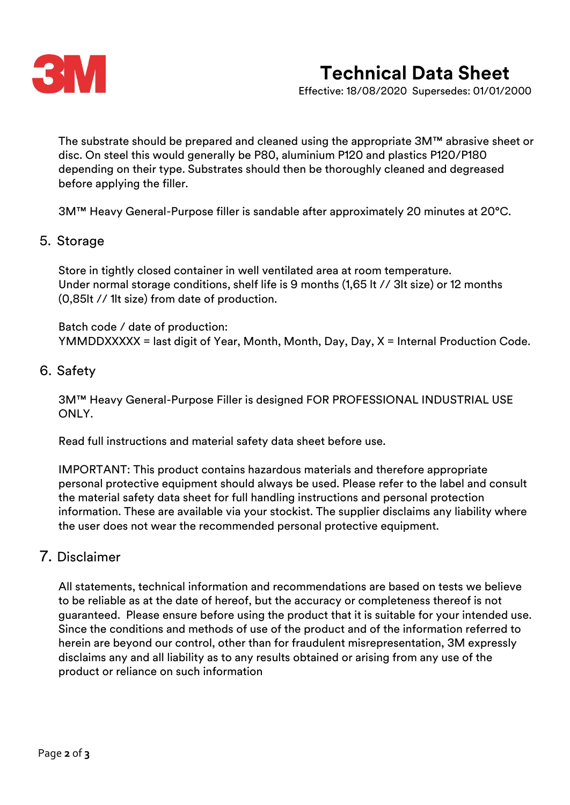

# **Technical Data Sheet**

Effective: 18/08/2020 Supersedes: 01/01/2000

The substrate should be prepared and cleaned using the appropriate 3M™ abrasive sheet or disc. On steel this would generally be P80, aluminium P120 and plastics P120/P180 depending on their type. Substrates should then be thoroughly cleaned and degreased before applying the filler.

3M™ Heavy General-Purpose filler is sandable after approximately 20 minutes at 20°C.

#### 5. Storage

Store in tightly closed container in well ventilated area at room temperature. Under normal storage conditions, shelf life is 9 months (1,65 lt // 3lt size) or 12 months (0,85lt // 1lt size) from date of production.

Batch code / date of production: YMMDDXXXXX = last digit of Year, Month, Month, Day, Day, X = Internal Production Code.

#### 6. Safety

3M™ Heavy General-Purpose Filler is designed FOR PROFESSIONAL INDUSTRIAL USE ONLY.

Read full instructions and material safety data sheet before use.

IMPORTANT: This product contains hazardous materials and therefore appropriate personal protective equipment should always be used. Please refer to the label and consult the material safety data sheet for full handling instructions and personal protection information. These are available via your stockist. The supplier disclaims any liability where the user does not wear the recommended personal protective equipment.

### 7. Disclaimer

All statements, technical information and recommendations are based on tests we believe to be reliable as at the date of hereof, but the accuracy or completeness thereof is not guaranteed. Please ensure before using the product that it is suitable for your intended use. Since the conditions and methods of use of the product and of the information referred to herein are beyond our control, other than for fraudulent misrepresentation, 3M expressly disclaims any and all liability as to any results obtained or arising from any use of the product or reliance on such information